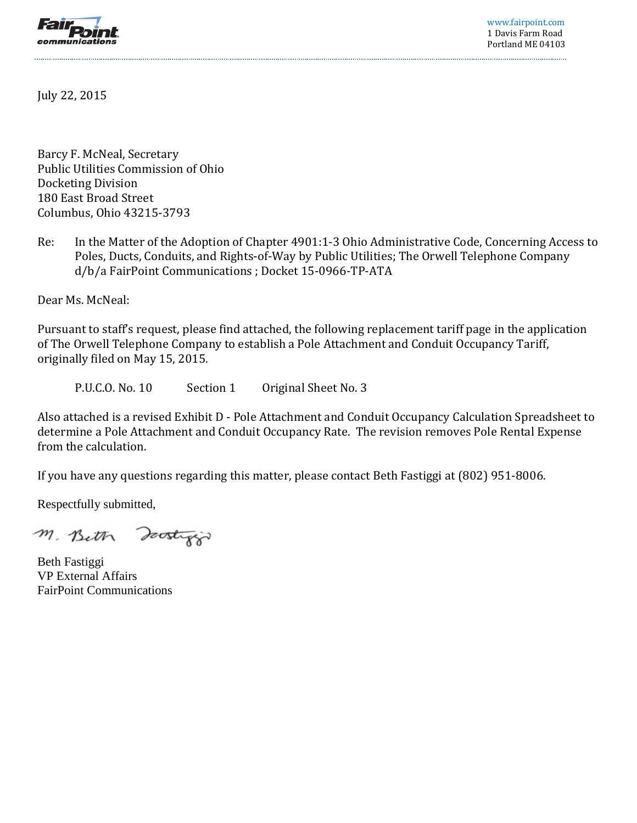

www.fairpoint.com 1 Davis Farm Road Portland ME 04103

July 22, 2015

Barcy F. McNeal, Secretary Public Utilities Commission of Ohio Docketing Division 180 East Broad Street Columbus, Ohio 43215-3793

Re: In the Matter of the Adoption of Chapter 4901:1-3 Ohio Administrative Code, Concerning Access to Poles, Ducts, Conduits, and Rights-of-Way by Public Utilities; The Orwell Telephone Company d/b/a FairPoint Communications ; Docket 15-0966-TP-ATA

Dear Ms. McNeal:

Pursuant to staff's request, please find attached, the following replacement tariff page in the application of The Orwell Telephone Company to establish a Pole Attachment and Conduit Occupancy Tariff, originally filed on May 15, 2015.

P.U.C.O. No. 10 Section 1 Original Sheet No. 3

Also attached is a revised Exhibit D - Pole Attachment and Conduit Occupancy Calculation Spreadsheet to determine a Pole Attachment and Conduit Occupancy Rate. The revision removes Pole Rental Expense from the calculation.

If you have any questions regarding this matter, please contact Beth Fastiggi at (802) 951-8006.

Respectfully submitted,

M. Bith Doostrop

Beth Fastiggi VP External Affairs FairPoint Communications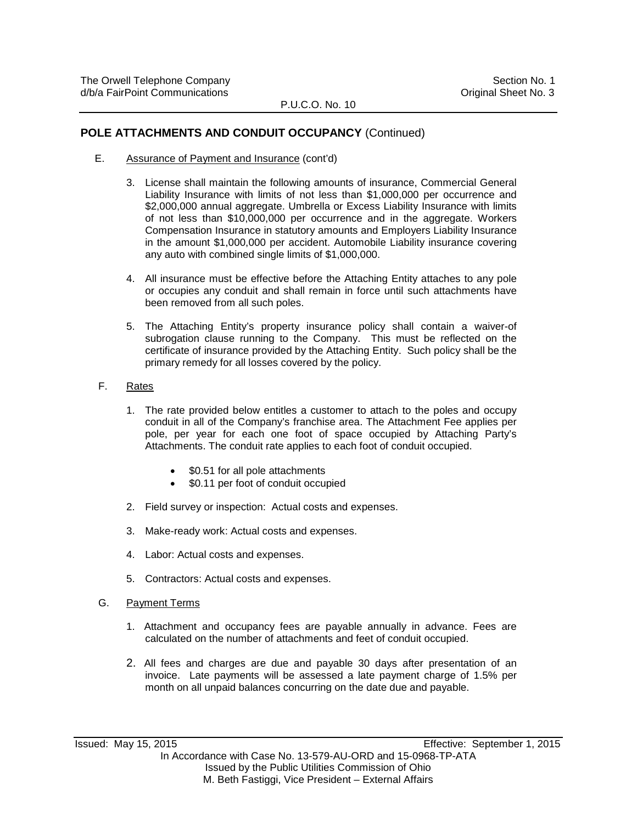#### **POLE ATTACHMENTS AND CONDUIT OCCUPANCY** (Continued)

- E. Assurance of Payment and Insurance (cont'd)
	- 3. License shall maintain the following amounts of insurance, Commercial General Liability Insurance with limits of not less than \$1,000,000 per occurrence and \$2,000,000 annual aggregate. Umbrella or Excess Liability Insurance with limits of not less than \$10,000,000 per occurrence and in the aggregate. Workers Compensation Insurance in statutory amounts and Employers Liability Insurance in the amount \$1,000,000 per accident. Automobile Liability insurance covering any auto with combined single limits of \$1,000,000.
	- 4. All insurance must be effective before the Attaching Entity attaches to any pole or occupies any conduit and shall remain in force until such attachments have been removed from all such poles.
	- 5. The Attaching Entity's property insurance policy shall contain a waiver-of subrogation clause running to the Company. This must be reflected on the certificate of insurance provided by the Attaching Entity. Such policy shall be the primary remedy for all losses covered by the policy.
- F. Rates
	- 1. The rate provided below entitles a customer to attach to the poles and occupy conduit in all of the Company's franchise area. The Attachment Fee applies per pole, per year for each one foot of space occupied by Attaching Party's Attachments. The conduit rate applies to each foot of conduit occupied.
		- \$0.51 for all pole attachments
		- \$0.11 per foot of conduit occupied
	- 2. Field survey or inspection: Actual costs and expenses.
	- 3. Make-ready work: Actual costs and expenses.
	- 4. Labor: Actual costs and expenses.
	- 5. Contractors: Actual costs and expenses.
- G. Payment Terms
	- 1. Attachment and occupancy fees are payable annually in advance. Fees are calculated on the number of attachments and feet of conduit occupied.
	- 2. All fees and charges are due and payable 30 days after presentation of an invoice. Late payments will be assessed a late payment charge of 1.5% per month on all unpaid balances concurring on the date due and payable.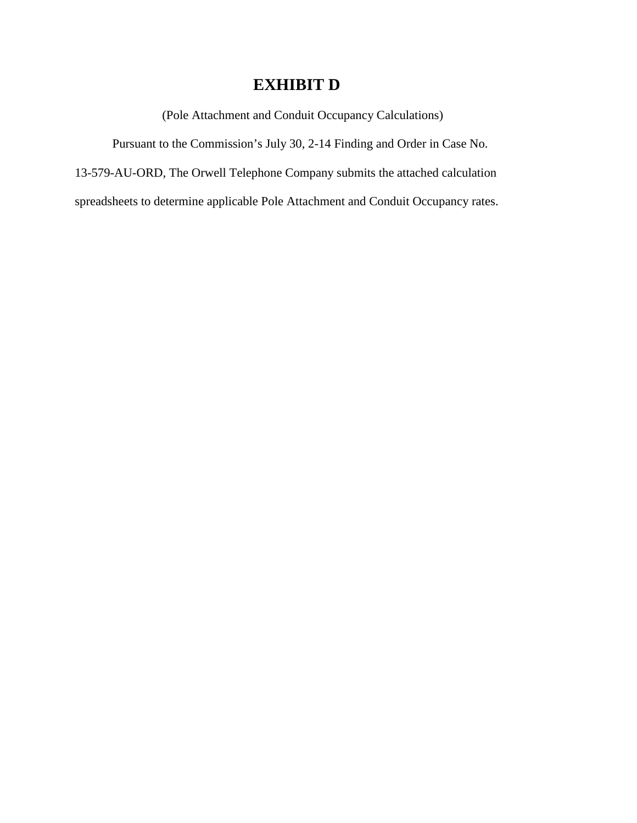# **EXHIBIT D**

(Pole Attachment and Conduit Occupancy Calculations)

Pursuant to the Commission's July 30, 2-14 Finding and Order in Case No.

13-579-AU-ORD, The Orwell Telephone Company submits the attached calculation

spreadsheets to determine applicable Pole Attachment and Conduit Occupancy rates.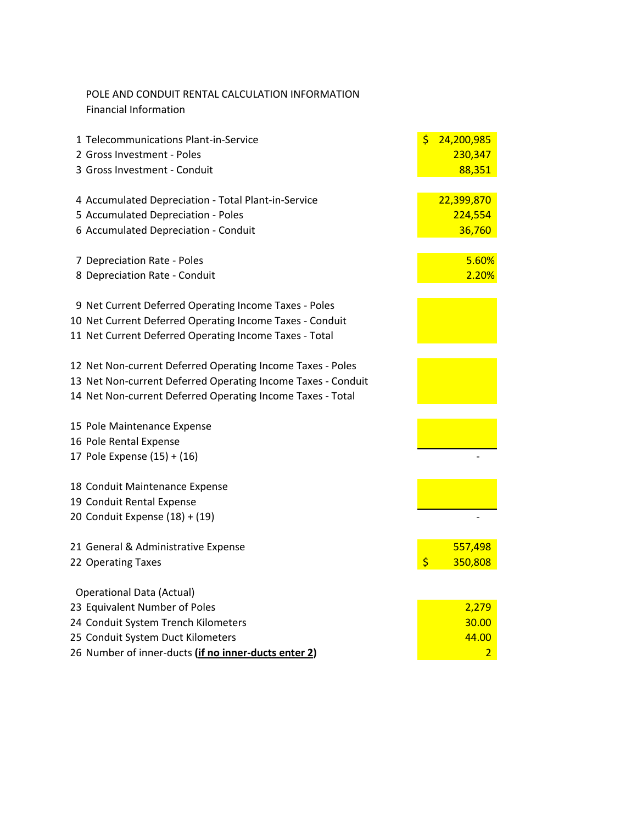| POLE AND CONDUIT RENTAL CALCULATION INFORMATION |
|-------------------------------------------------|
| Financial Information                           |

| 1 Telecommunications Plant-in-Service                                      | \$<br>24,200,985  |
|----------------------------------------------------------------------------|-------------------|
| 2 Gross Investment - Poles                                                 | 230,347           |
| 3 Gross Investment - Conduit                                               | 88,351            |
|                                                                            |                   |
| 4 Accumulated Depreciation - Total Plant-in-Service                        | 22,399,870        |
| 5 Accumulated Depreciation - Poles<br>6 Accumulated Depreciation - Conduit | 224,554<br>36,760 |
|                                                                            |                   |
| 7 Depreciation Rate - Poles                                                | 5.60%             |
| 8 Depreciation Rate - Conduit                                              | 2.20%             |
| 9 Net Current Deferred Operating Income Taxes - Poles                      |                   |
| 10 Net Current Deferred Operating Income Taxes - Conduit                   |                   |
| 11 Net Current Deferred Operating Income Taxes - Total                     |                   |
|                                                                            |                   |
| 12 Net Non-current Deferred Operating Income Taxes - Poles                 |                   |
| 13 Net Non-current Deferred Operating Income Taxes - Conduit               |                   |
| 14 Net Non-current Deferred Operating Income Taxes - Total                 |                   |
| 15 Pole Maintenance Expense                                                |                   |
| 16 Pole Rental Expense                                                     |                   |
| 17 Pole Expense (15) + (16)                                                |                   |
| 18 Conduit Maintenance Expense                                             |                   |
| 19 Conduit Rental Expense                                                  |                   |
| 20 Conduit Expense (18) + (19)                                             |                   |
|                                                                            |                   |
| 21 General & Administrative Expense                                        | 557,498           |
| 22 Operating Taxes                                                         | \$<br>350,808     |
| <b>Operational Data (Actual)</b>                                           |                   |
| 23 Equivalent Number of Poles                                              | 2,279             |
| 24 Conduit System Trench Kilometers                                        | 30.00             |
| 25 Conduit System Duct Kilometers                                          | 44.00             |
| 26 Number of inner-ducts (if no inner-ducts enter 2)                       | $\overline{2}$    |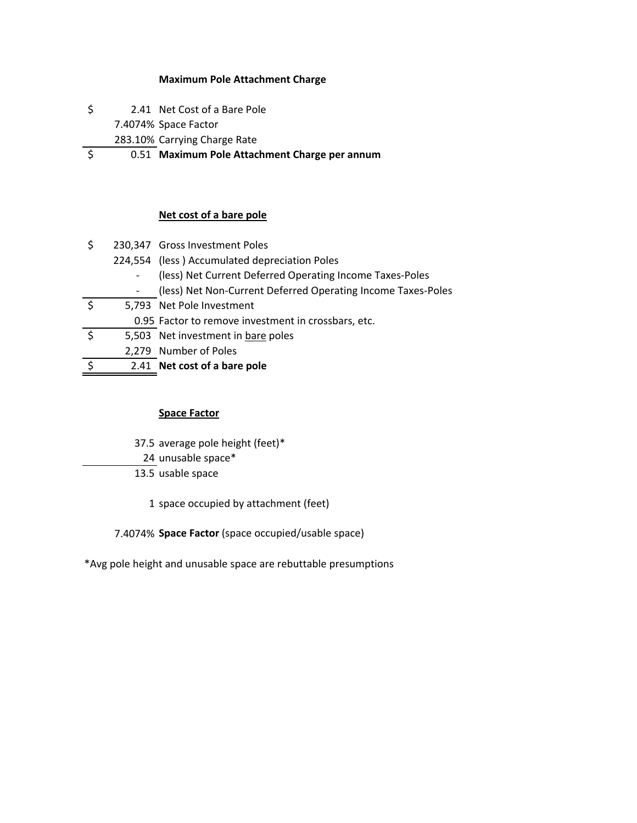#### **Maximum Pole Attachment Charge**

- \$ 2.41 Net Cost of a Bare Pole
	- 7.4074% Space Factor
	- 283.10% Carrying Charge Rate
- \$ 0.51 **Maximum Pole Attachment Charge per annum**

#### **Net cost of a bare pole**

| \$ | 230,347 Gross Investment Poles                               |
|----|--------------------------------------------------------------|
|    | 224,554 (less) Accumulated depreciation Poles                |
|    | (less) Net Current Deferred Operating Income Taxes-Poles     |
|    | (less) Net Non-Current Deferred Operating Income Taxes-Poles |
|    | 5,793 Net Pole Investment                                    |
|    | 0.95 Factor to remove investment in crossbars, etc.          |
| ς  | 5,503 Net investment in bare poles                           |
|    | 2,279 Number of Poles                                        |
|    | 2.41 Net cost of a bare pole                                 |

#### **Space Factor**

- 37.5 average pole height (feet)\*
- 24 unusable space\*
- 13.5 usable space
	- 1 space occupied by attachment (feet)

7.4074% **Space Factor** (space occupied/usable space)

\*Avg pole height and unusable space are rebuttable presumptions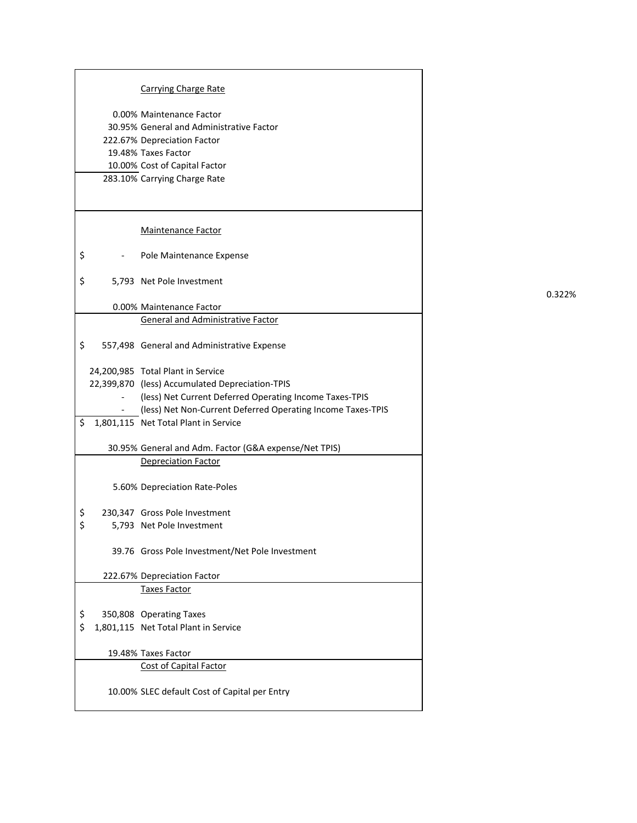|          | <b>Carrying Charge Rate</b>                                 |
|----------|-------------------------------------------------------------|
|          | 0.00% Maintenance Factor                                    |
|          | 30.95% General and Administrative Factor                    |
|          | 222.67% Depreciation Factor                                 |
|          | 19.48% Taxes Factor                                         |
|          | 10.00% Cost of Capital Factor                               |
|          | 283.10% Carrying Charge Rate                                |
|          |                                                             |
|          |                                                             |
|          | <b>Maintenance Factor</b>                                   |
| \$       | Pole Maintenance Expense                                    |
| \$       | 5,793 Net Pole Investment                                   |
|          | 0.00% Maintenance Factor                                    |
|          | General and Administrative Factor                           |
| \$       | 557,498 General and Administrative Expense                  |
|          | 24,200,985 Total Plant in Service                           |
|          | 22,399,870 (less) Accumulated Depreciation-TPIS             |
|          | (less) Net Current Deferred Operating Income Taxes-TPIS     |
|          | (less) Net Non-Current Deferred Operating Income Taxes-TPIS |
| \$       | 1,801,115 Net Total Plant in Service                        |
|          |                                                             |
|          | 30.95% General and Adm. Factor (G&A expense/Net TPIS)       |
|          | <b>Depreciation Factor</b>                                  |
|          | 5.60% Depreciation Rate-Poles                               |
|          | 230,347 Gross Pole Investment                               |
| \$<br>\$ | 5,793 Net Pole Investment                                   |
|          |                                                             |
|          | 39.76 Gross Pole Investment/Net Pole Investment             |
|          | 222.67% Depreciation Factor                                 |
|          | Taxes Factor                                                |
| \$       | 350,808 Operating Taxes                                     |
| \$       | 1,801,115 Net Total Plant in Service                        |
|          |                                                             |
|          | 19.48% Taxes Factor                                         |
|          | <b>Cost of Capital Factor</b>                               |
|          | 10.00% SLEC default Cost of Capital per Entry               |

0.322%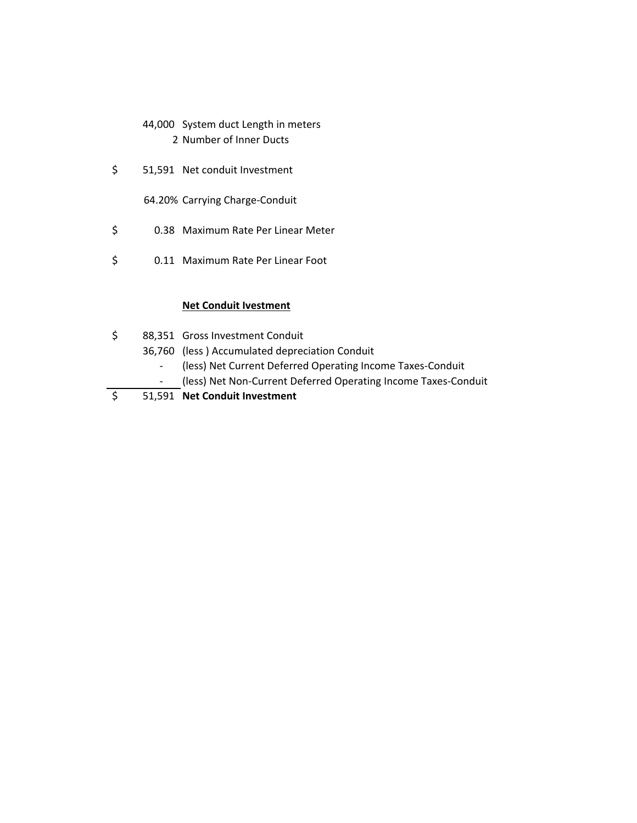- 44,000 System duct Length in meters 2 Number of Inner Ducts
- \$ 51,591 Net conduit Investment
	- 64.20% Carrying Charge‐Conduit
- \$ 0.38 Maximum Rate Per Linear Meter
- \$ 0.11 Maximum Rate Per Linear Foot

#### **Net Conduit Ivestment**

- \$ 88,351 Gross Investment Conduit
	- 36,760 (less ) Accumulated depreciation Conduit
		- ‐ (less) Net Current Deferred Operating Income Taxes‐Conduit
		- ‐ (less) Net Non‐Current Deferred Operating Income Taxes‐Conduit
- \$ 51,591 **Net Conduit Investment**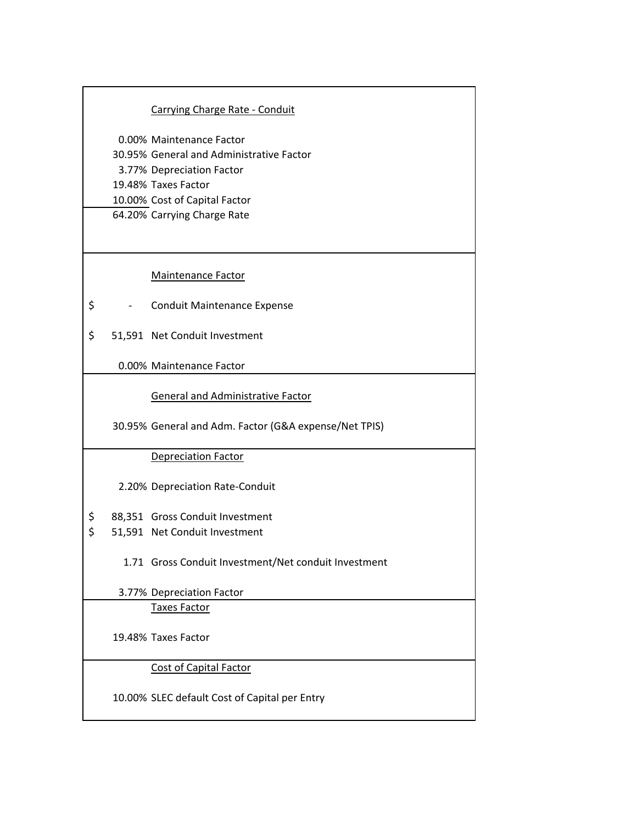### Carrying Charge Rate ‐ Conduit

0.00% Maintenance Factor 30.95% General and Administrative Factor 3.77% Depreciation Factor 19.48% Taxes Factor 10.00% Cost of Capital Factor 64.20% Carrying Charge Rate

#### Maintenance Factor

- \$ ‐ Conduit Maintenance Expense
- \$ 51,591 Net Conduit Investment

0.00% Maintenance Factor

General and Administrative Factor

30.95% General and Adm. Factor (G&A expense/Net TPIS)

#### Depreciation Factor

2.20% Depreciation Rate‐Conduit

- \$ 88,351 Gross Conduit Investment
- \$ 51,591 Net Conduit Investment
	- 1.71 Gross Conduit Investment/Net conduit Investment

3.77% Depreciation Factor

Taxes Factor

19.48% Taxes Factor

Cost of Capital Factor

10.00% SLEC default Cost of Capital per Entry